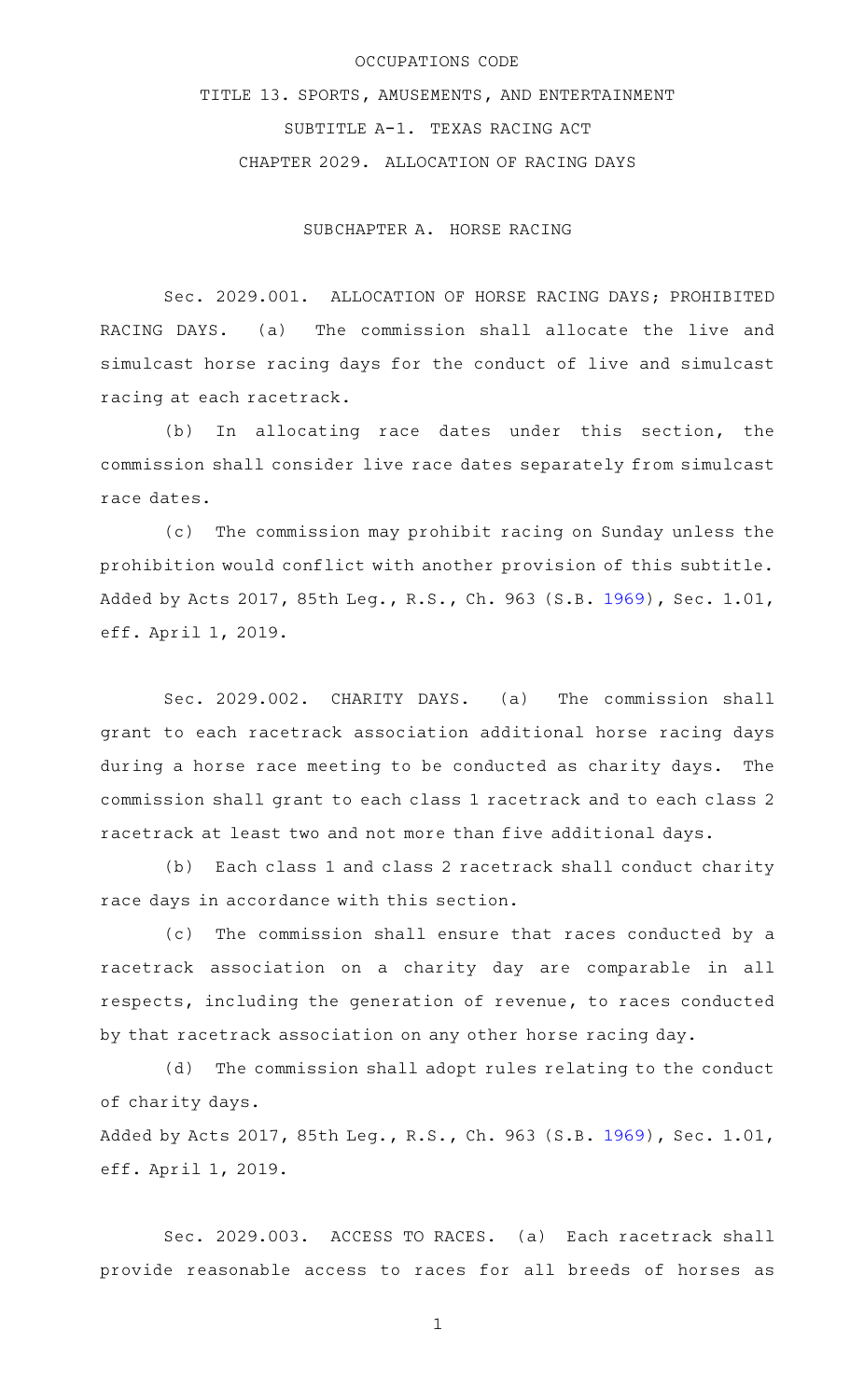## OCCUPATIONS CODE

TITLE 13. SPORTS, AMUSEMENTS, AND ENTERTAINMENT SUBTITLE A-1. TEXAS RACING ACT CHAPTER 2029. ALLOCATION OF RACING DAYS

## SUBCHAPTER A. HORSE RACING

Sec. 2029.001. ALLOCATION OF HORSE RACING DAYS; PROHIBITED RACING DAYS. (a) The commission shall allocate the live and simulcast horse racing days for the conduct of live and simulcast racing at each racetrack.

(b) In allocating race dates under this section, the commission shall consider live race dates separately from simulcast race dates.

(c) The commission may prohibit racing on Sunday unless the prohibition would conflict with another provision of this subtitle. Added by Acts 2017, 85th Leg., R.S., Ch. 963 (S.B. [1969](http://www.legis.state.tx.us/tlodocs/85R/billtext/html/SB01969F.HTM)), Sec. 1.01, eff. April 1, 2019.

Sec. 2029.002. CHARITY DAYS. (a) The commission shall grant to each racetrack association additional horse racing days during a horse race meeting to be conducted as charity days. The commission shall grant to each class 1 racetrack and to each class 2 racetrack at least two and not more than five additional days.

(b) Each class 1 and class 2 racetrack shall conduct charity race days in accordance with this section.

(c) The commission shall ensure that races conducted by a racetrack association on a charity day are comparable in all respects, including the generation of revenue, to races conducted by that racetrack association on any other horse racing day.

(d) The commission shall adopt rules relating to the conduct of charity days.

Added by Acts 2017, 85th Leg., R.S., Ch. 963 (S.B. [1969](http://www.legis.state.tx.us/tlodocs/85R/billtext/html/SB01969F.HTM)), Sec. 1.01, eff. April 1, 2019.

Sec. 2029.003. ACCESS TO RACES. (a) Each racetrack shall provide reasonable access to races for all breeds of horses as

1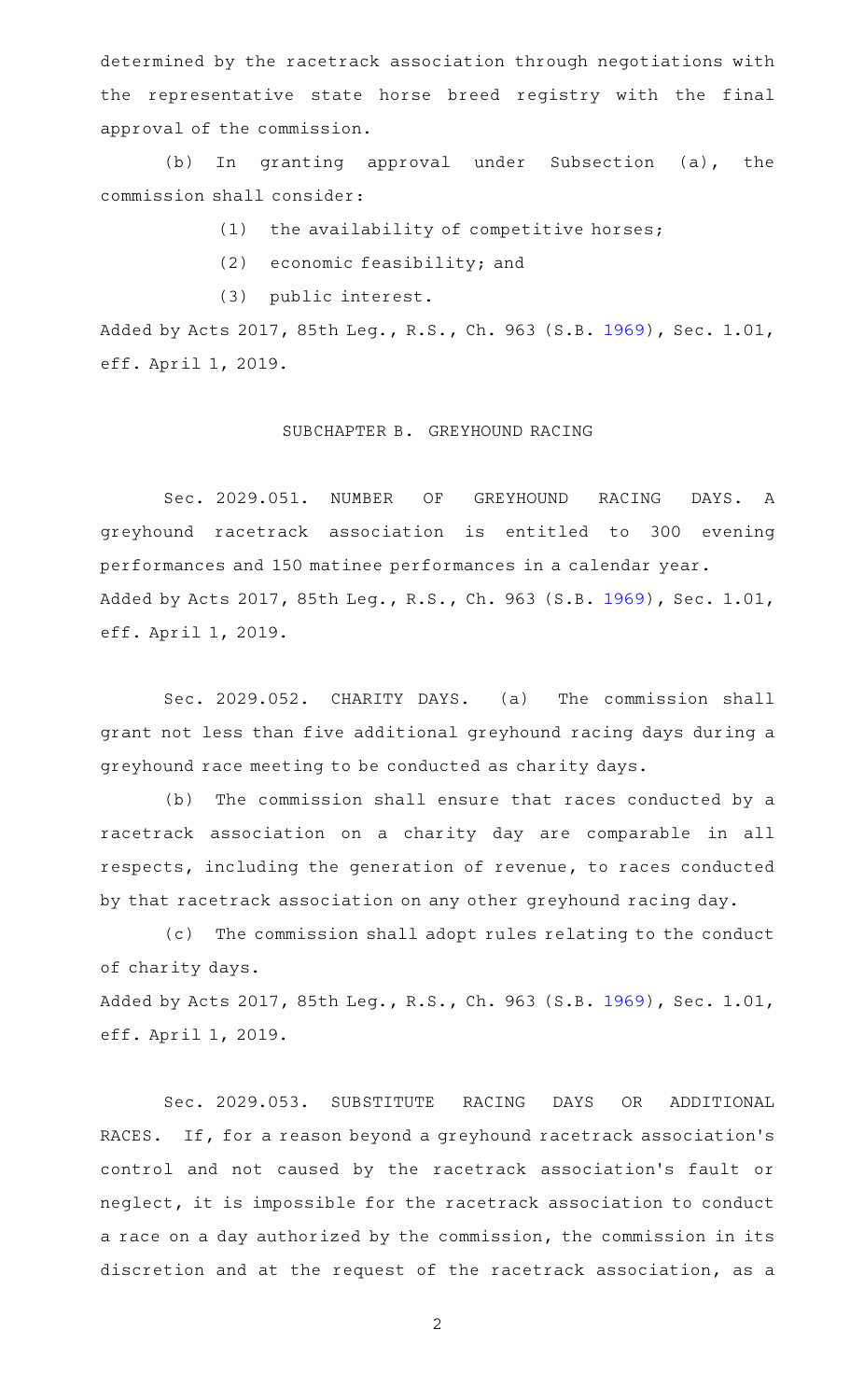determined by the racetrack association through negotiations with the representative state horse breed registry with the final approval of the commission.

(b) In granting approval under Subsection (a), the commission shall consider:

- $(1)$  the availability of competitive horses;
- $(2)$  economic feasibility; and
- (3) public interest.

Added by Acts 2017, 85th Leg., R.S., Ch. 963 (S.B. [1969](http://www.legis.state.tx.us/tlodocs/85R/billtext/html/SB01969F.HTM)), Sec. 1.01, eff. April 1, 2019.

## SUBCHAPTER B. GREYHOUND RACING

Sec. 2029.051. NUMBER OF GREYHOUND RACING DAYS. A greyhound racetrack association is entitled to 300 evening performances and 150 matinee performances in a calendar year. Added by Acts 2017, 85th Leg., R.S., Ch. 963 (S.B. [1969](http://www.legis.state.tx.us/tlodocs/85R/billtext/html/SB01969F.HTM)), Sec. 1.01, eff. April 1, 2019.

Sec. 2029.052. CHARITY DAYS. (a) The commission shall grant not less than five additional greyhound racing days during a greyhound race meeting to be conducted as charity days.

(b) The commission shall ensure that races conducted by a racetrack association on a charity day are comparable in all respects, including the generation of revenue, to races conducted by that racetrack association on any other greyhound racing day.

(c) The commission shall adopt rules relating to the conduct of charity days.

Added by Acts 2017, 85th Leg., R.S., Ch. 963 (S.B. [1969](http://www.legis.state.tx.us/tlodocs/85R/billtext/html/SB01969F.HTM)), Sec. 1.01, eff. April 1, 2019.

Sec. 2029.053. SUBSTITUTE RACING DAYS OR ADDITIONAL RACES. If, for a reason beyond a greyhound racetrack association's control and not caused by the racetrack association 's fault or neglect, it is impossible for the racetrack association to conduct a race on a day authorized by the commission, the commission in its discretion and at the request of the racetrack association, as a

2